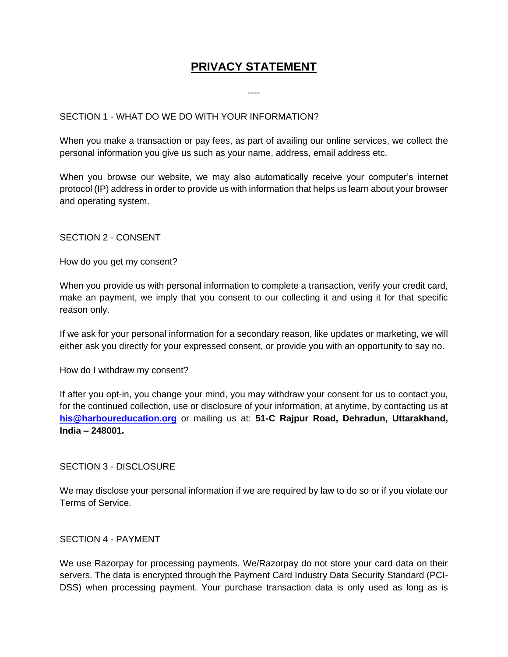# **PRIVACY STATEMENT**

----

## SECTION 1 - WHAT DO WE DO WITH YOUR INFORMATION?

When you make a transaction or pay fees, as part of availing our online services, we collect the personal information you give us such as your name, address, email address etc.

When you browse our website, we may also automatically receive your computer's internet protocol (IP) address in order to provide us with information that helps us learn about your browser and operating system.

SECTION 2 - CONSENT

How do you get my consent?

When you provide us with personal information to complete a transaction, verify your credit card, make an payment, we imply that you consent to our collecting it and using it for that specific reason only.

If we ask for your personal information for a secondary reason, like updates or marketing, we will either ask you directly for your expressed consent, or provide you with an opportunity to say no.

How do I withdraw my consent?

If after you opt-in, you change your mind, you may withdraw your consent for us to contact you, for the continued collection, use or disclosure of your information, at anytime, by contacting us at **[his@harboureducation.org](mailto:his@harboureducation.org)** or mailing us at: **51-C Rajpur Road, Dehradun, Uttarakhand, India – 248001.**

#### SECTION 3 - DISCLOSURE

We may disclose your personal information if we are required by law to do so or if you violate our Terms of Service.

#### SECTION 4 - PAYMENT

We use Razorpay for processing payments. We/Razorpay do not store your card data on their servers. The data is encrypted through the Payment Card Industry Data Security Standard (PCI-DSS) when processing payment. Your purchase transaction data is only used as long as is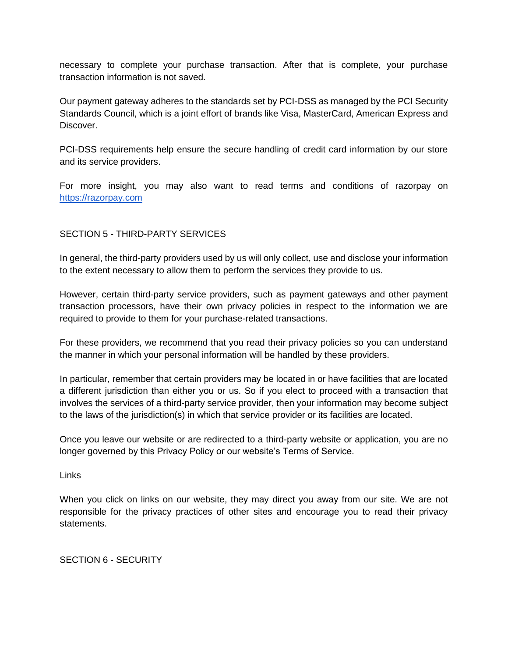necessary to complete your purchase transaction. After that is complete, your purchase transaction information is not saved.

Our payment gateway adheres to the standards set by PCI-DSS as managed by the PCI Security Standards Council, which is a joint effort of brands like Visa, MasterCard, American Express and Discover.

PCI-DSS requirements help ensure the secure handling of credit card information by our store and its service providers.

For more insight, you may also want to read terms and conditions of razorpay on [https://razorpay.com](https://razorpay.com/)

## SECTION 5 - THIRD-PARTY SERVICES

In general, the third-party providers used by us will only collect, use and disclose your information to the extent necessary to allow them to perform the services they provide to us.

However, certain third-party service providers, such as payment gateways and other payment transaction processors, have their own privacy policies in respect to the information we are required to provide to them for your purchase-related transactions.

For these providers, we recommend that you read their privacy policies so you can understand the manner in which your personal information will be handled by these providers.

In particular, remember that certain providers may be located in or have facilities that are located a different jurisdiction than either you or us. So if you elect to proceed with a transaction that involves the services of a third-party service provider, then your information may become subject to the laws of the jurisdiction(s) in which that service provider or its facilities are located.

Once you leave our website or are redirected to a third-party website or application, you are no longer governed by this Privacy Policy or our website's Terms of Service.

Links

When you click on links on our website, they may direct you away from our site. We are not responsible for the privacy practices of other sites and encourage you to read their privacy statements.

SECTION 6 - SECURITY